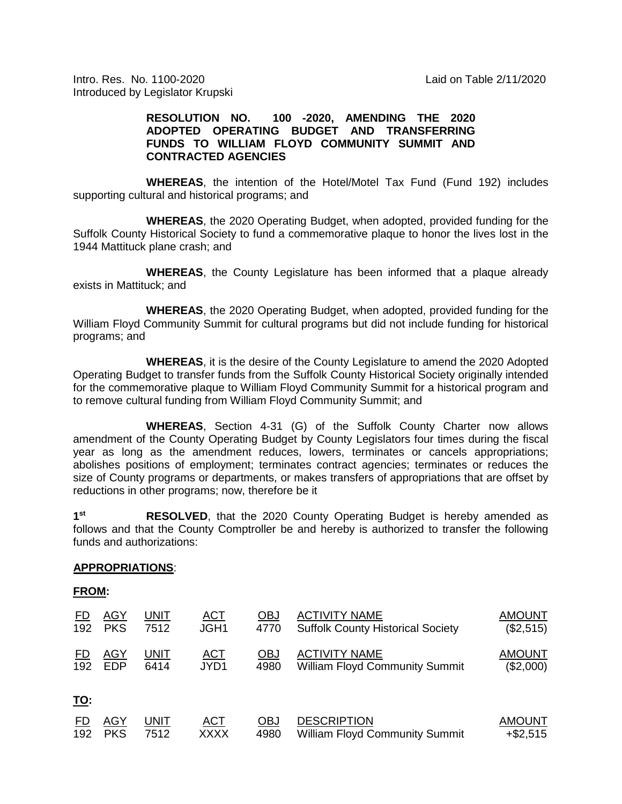Intro. Res. No. 1100-2020 Laid on Table 2/11/2020 Introduced by Legislator Krupski

## **RESOLUTION NO. 100 -2020, AMENDING THE 2020 ADOPTED OPERATING BUDGET AND TRANSFERRING FUNDS TO WILLIAM FLOYD COMMUNITY SUMMIT AND CONTRACTED AGENCIES**

**WHEREAS**, the intention of the Hotel/Motel Tax Fund (Fund 192) includes supporting cultural and historical programs; and

**WHEREAS**, the 2020 Operating Budget, when adopted, provided funding for the Suffolk County Historical Society to fund a commemorative plaque to honor the lives lost in the 1944 Mattituck plane crash; and

**WHEREAS**, the County Legislature has been informed that a plaque already exists in Mattituck; and

**WHEREAS**, the 2020 Operating Budget, when adopted, provided funding for the William Floyd Community Summit for cultural programs but did not include funding for historical programs; and

**WHEREAS**, it is the desire of the County Legislature to amend the 2020 Adopted Operating Budget to transfer funds from the Suffolk County Historical Society originally intended for the commemorative plaque to William Floyd Community Summit for a historical program and to remove cultural funding from William Floyd Community Summit; and

**WHEREAS**, Section 4-31 (G) of the Suffolk County Charter now allows amendment of the County Operating Budget by County Legislators four times during the fiscal year as long as the amendment reduces, lowers, terminates or cancels appropriations; abolishes positions of employment; terminates contract agencies; terminates or reduces the size of County programs or departments, or makes transfers of appropriations that are offset by reductions in other programs; now, therefore be it

**1st RESOLVED**, that the 2020 County Operating Budget is hereby amended as follows and that the County Comptroller be and hereby is authorized to transfer the following funds and authorizations:

## **APPROPRIATIONS**:

## **FROM:**

| <u>FD</u>  | <b>AGY</b> | <u>UNIT</u> | <u>ACT</u>  | <u>OBJ</u> | <b>ACTIVITY NAME</b>                     | <b>AMOUNT</b> |
|------------|------------|-------------|-------------|------------|------------------------------------------|---------------|
| 192        | <b>PKS</b> | 7512        | JGH1        | 4770       | <b>Suffolk County Historical Society</b> | (\$2,515)     |
| ED         | <b>AGY</b> | UNIT        | <b>ACT</b>  | <u>OBJ</u> | <b>ACTIVITY NAME</b>                     | <b>AMOUNT</b> |
| 192        | <b>EDP</b> | 6414        | JYD1        | 4980       | <b>William Floyd Community Summit</b>    | (\$2,000)     |
| <u>TO:</u> |            |             |             |            |                                          |               |
| FD         | <b>AGY</b> | UNIT        | <u>ACT</u>  | OBJ        | <b>DESCRIPTION</b>                       | <b>AMOUNT</b> |
| 192        | <b>PKS</b> | 7512        | <b>XXXX</b> | 4980       | <b>William Floyd Community Summit</b>    | $+$ \$2,515   |